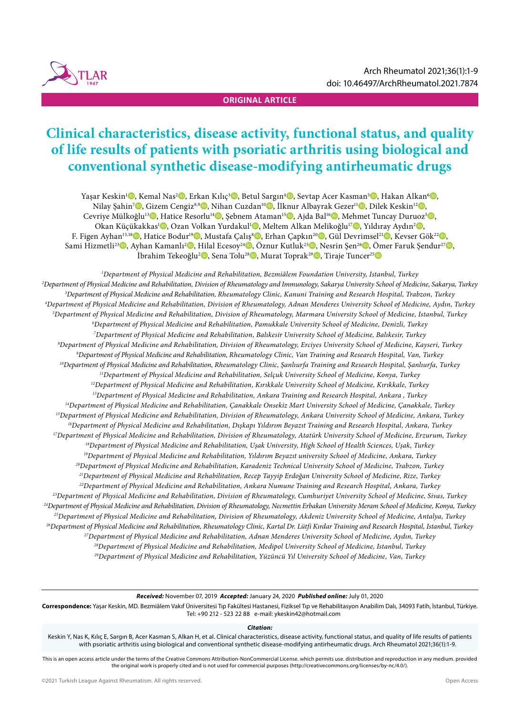

# **Clinical characteristics, disease activity, functional status, and quality of life results of patients with psoriatic arthritis using biological and conventional synthetic disease-modifying antirheumatic drugs**

Yaşar Keskin<sup>ı</sup>©, Kemal Nas<sup>2</sup>©, Erkan Kılıç<sup>3</sup>©, Betul Sargın<sup>4</sup>©, Sevtap Acer Kasman<sup>s</sup>©, Hakan Alkan'©, Nilay Şahin<sup>7</sup>®, Gizem Cengiz<sup>8,9</sup>®, Nihan Cuzdan<sup>10</sup>®, İlknur Albayrak Gezer<sup>11</sup>®, Dilek Keskin<sup>12</sup>®, Cevriye Mülkoğlu<sup>13</sup>©, Hatice Resorlu<sup>14</sup>©, Şebnem Ataman<sup>15</sup>©, Ajda Bal<sup>16</sup>©, Mehmet Tuncay Duruoz<sup>5</sup>©, Okan Küçükakkas<sup>ı</sup> (, Ozan Volkan Yurdakul<sup>ı</sup> (, Meltem Alkan Melikoğlu<sup>ı7</sup> (, Yıldıray Aydın<sup>2</sup> (, ) F. Figen Ayhan<sup>13,18</sup>©, Hatice Bodur<sup>19</sup>©, Mustafa Çalış<sup>8</sup>©, Erhan Çapkın<sup>20</sup>©, Gül Devrimsel<sup>21</sup>©, Kevser Gök<sup>22</sup>©, Sami Hizmetli<sup>23</sup>©, Ayhan Kamanlı<sup>2</sup>©, Hilal Ecesoy<sup>24</sup>©, Öznur Kutluk<sup>25</sup>©, Nesrin Şen<sup>26</sup>©, Ömer Faruk Şendur<sup>27</sup>©, İbrahim Tekeoğlu<sup>2</sup>D, Sena Tolu<sup>28</sup>D, Murat Toprak<sup>29</sup>D, Tiraje Tuncer<sup>25</sup>D

*1 Department of Physical Medicine and Rehabilitation, Bezmiâlem Foundation University, Istanbul, Turkey 2 Department of Physical Medicine and Rehabilitation, Division of Rheumatology and Immunology, Sakarya University School of Medicine, Sakarya, Turkey 3 Department of Physical Medicine and Rehabilitation, Rheumatology Clinic, Kanuni Training and Research Hospital, Trabzon, Turkey 4 Department of Physical Medicine and Rehabilitation, Division of Rheumatology, Adnan Menderes University School of Medicine, Aydın, Turkey 5 Department of Physical Medicine and Rehabilitation, Division of Rheumatology, Marmara University School of Medicine, Istanbul, Turkey 6 Department of Physical Medicine and Rehabilitation, Pamukkale University School of Medicine, Denizli, Turkey 7 Department of Physical Medicine and Rehabilitation, Balıkesir University School of Medicine, Balıkesir, Turkey 8 Department of Physical Medicine and Rehabilitation, Division of Rheumatology, Erciyes University School of Medicine, Kayseri, Turkey 9 Department of Physical Medicine and Rehabilitation, Rheumatology Clinic, Van Training and Research Hospital, Van, Turkey 10Department of Physical Medicine and Rehabilitation, Rheumatology Clinic, Şanlıurfa Training and Research Hospital, Şanlıurfa, Turkey 11Department of Physical Medicine and Rehabilitation, Selçuk University School of Medicine, Konya, Turkey 12Department of Physical Medicine and Rehabilitation, Kırıkkale University School of Medicine, Kırıkkale, Turkey 13Department of Physical Medicine and Rehabilitation, Ankara Training and Research Hospital, Ankara , Turkey 14Department of Physical Medicine and Rehabilitation, Çanakkale Onsekiz Mart University School of Medicine, Çanakkale, Turkey 15Department of Physical Medicine and Rehabilitation, Division of Rheumatology, Ankara University School of Medicine, Ankara, Turkey 16Department of Physical Medicine and Rehabilitation, Dışkapı Yıldırım Beyazıt Training and Research Hospital, Ankara, Turkey 17Department of Physical Medicine and Rehabilitation, Division of Rheumatology, Atatürk University School of Medicine, Erzurum, Turkey 18Department of Physical Medicine and Rehabilitation, Uşak University, High School of Health Sciences, Uşak, Turkey 19Department of Physical Medicine and Rehabilitation, Yıldırım Beyazıt university School of Medicine, Ankara, Turkey 20Department of Physical Medicine and Rehabilitation, Karadeniz Technical University School of Medicine, Trabzon, Turkey 21Department of Physical Medicine and Rehabilitation, Recep Tayyip Erdoğan University School of Medicine, Rize, Turkey 22Department of Physical Medicine and Rehabilitation, Ankara Numune Training and Research Hospital, Ankara, Turkey 23Department of Physical Medicine and Rehabilitation, Division of Rheumatology, Cumhuriyet University School of Medicine, Sivas, Turkey 24Department of Physical Medicine and Rehabilitation, Division of Rheumatology, Necmettin Erbakan University Meram School of Medicine, Konya, Turkey 25Department of Physical Medicine and Rehabilitation, Division of Rheumatology, Akdeniz University School of Medicine, Antalya, Turkey 26Department of Physical Medicine and Rehabilitation, Rheumatology Clinic, Kartal Dr. Lütfi Kırdar Training and Research Hospital, Istanbul, Turkey 27Department of Physical Medicine and Rehabilitation, Adnan Menderes University School of Medicine, Aydın, Turkey 28Department of Physical Medicine and Rehabilitation, Medipol University School of Medicine, Istanbul, Turkey 29Department of Physical Medicine and Rehabilitation, Yüzüncü Yıl University School of Medicine, Van, Turkey*

*Received:* November 07, 2019 *Accepted:* January 24, 2020 *Published online:* July 01, 2020

**Correspondence:** Yaşar Keskin, MD. Bezmiâlem Vakıf Üniversitesi Tıp Fakültesi Hastanesi, Fiziksel Tıp ve Rehabilitasyon Anabilim Dalı, 34093 Fatih, İstanbul, Türkiye. Tel: +90 212 - 523 22 88 e-mail: ykeskin42@hotmail.com

#### *Citation:*

Keskin Y, Nas K, Kılıç E, Sargın B, Acer Kasman S, Alkan H, et al. Clinical characteristics, disease activity, functional status, and quality of life results of patients with psoriatic arthritis using biological and conventional synthetic disease-modifying antirheumatic drugs. Arch Rheumatol 2021;36(1):1-9.

This is an open access article under the terms of the Creative Commons Attribution-NonCommercial License. which permits use. distribution and reproduction in any medium. provided the original work is properly cited and is not used for commercial purposes (http://creativecommons.org/licenses/by-nc/4.0/).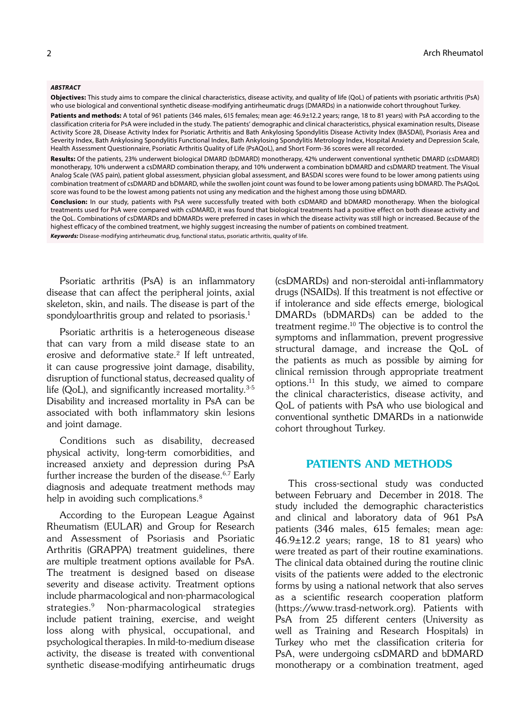#### *ABSTRACT*

**Objectives:** This study aims to compare the clinical characteristics, disease activity, and quality of life (QoL) of patients with psoriatic arthritis (PsA) who use biological and conventional synthetic disease-modifying antirheumatic drugs (DMARDs) in a nationwide cohort throughout Turkey.

Patients and methods: A total of 961 patients (346 males, 615 females; mean age: 46.9±12.2 years; range, 18 to 81 years) with PsA according to the classification criteria for PsA were included in the study. The patients' demographic and clinical characteristics, physical examination results, Disease Activity Score 28, Disease Activity Index for Psoriatic Arthritis and Bath Ankylosing Spondylitis Disease Activity Index (BASDAI), Psoriasis Area and Severity Index, Bath Ankylosing Spondylitis Functional Index, Bath Ankylosing Spondylitis Metrology Index, Hospital Anxiety and Depression Scale, Health Assessment Questionnaire, Psoriatic Arthritis Quality of Life (PsAQoL), and Short Form-36 scores were all recorded.

**Results:** Of the patients, 23% underwent biological DMARD (bDMARD) monotherapy, 42% underwent conventional synthetic DMARD (csDMARD) monotherapy, 10% underwent a csDMARD combination therapy, and 10% underwent a combination bDMARD and csDMARD treatment. The Visual Analog Scale (VAS pain), patient global assessment, physician global assessment, and BASDAI scores were found to be lower among patients using combination treatment of csDMARD and bDMARD, while the swollen joint count was found to be lower among patients using bDMARD. The PsAQoL score was found to be the lowest among patients not using any medication and the highest among those using bDMARD.

**Conclusion:** In our study, patients with PsA were successfully treated with both csDMARD and bDMARD monotherapy. When the biological treatments used for PsA were compared with csDMARD, it was found that biological treatments had a positive effect on both disease activity and the QoL. Combinations of csDMARDs and bDMARDs were preferred in cases in which the disease activity was still high or increased. Because of the highest efficacy of the combined treatment, we highly suggest increasing the number of patients on combined treatment.

*Keywords:* Disease-modifying antirheumatic drug, functional status, psoriatic arthritis, quality of life.

Psoriatic arthritis (PsA) is an inflammatory disease that can affect the peripheral joints, axial skeleton, skin, and nails. The disease is part of the spondyloarthritis group and related to psoriasis.<sup>1</sup>

Psoriatic arthritis is a heterogeneous disease that can vary from a mild disease state to an erosive and deformative state.<sup>2</sup> If left untreated, it can cause progressive joint damage, disability, disruption of functional status, decreased quality of life (QoL), and significantly increased mortality.<sup>3-5</sup> Disability and increased mortality in PsA can be associated with both inflammatory skin lesions and joint damage.

Conditions such as disability, decreased physical activity, long-term comorbidities, and increased anxiety and depression during PsA further increase the burden of the disease.<sup>6,7</sup> Early diagnosis and adequate treatment methods may help in avoiding such complications.<sup>8</sup>

According to the European League Against Rheumatism (EULAR) and Group for Research and Assessment of Psoriasis and Psoriatic Arthritis (GRAPPA) treatment guidelines, there are multiple treatment options available for PsA. The treatment is designed based on disease severity and disease activity. Treatment options include pharmacological and non-pharmacological strategies.9 Non-pharmacological strategies include patient training, exercise, and weight loss along with physical, occupational, and psychological therapies. In mild-to-medium disease activity, the disease is treated with conventional synthetic disease-modifying antirheumatic drugs (csDMARDs) and non-steroidal anti-inflammatory drugs (NSAIDs). If this treatment is not effective or if intolerance and side effects emerge, biological DMARDs (bDMARDs) can be added to the treatment regime.10 The objective is to control the symptoms and inflammation, prevent progressive structural damage, and increase the QoL of the patients as much as possible by aiming for clinical remission through appropriate treatment options.11 In this study, we aimed to compare the clinical characteristics, disease activity, and QoL of patients with PsA who use biological and conventional synthetic DMARDs in a nationwide cohort throughout Turkey.

# PATIENTS AND METHODS

This cross-sectional study was conducted between February and December in 2018. The study included the demographic characteristics and clinical and laboratory data of 961 PsA patients (346 males, 615 females; mean age:  $46.9\pm12.2$  years; range, 18 to 81 years) who were treated as part of their routine examinations. The clinical data obtained during the routine clinic visits of the patients were added to the electronic forms by using a national network that also serves as a scientific research cooperation platform (https://www.trasd-network.org). Patients with PsA from 25 different centers (University as well as Training and Research Hospitals) in Turkey who met the classification criteria for PsA, were undergoing csDMARD and bDMARD monotherapy or a combination treatment, aged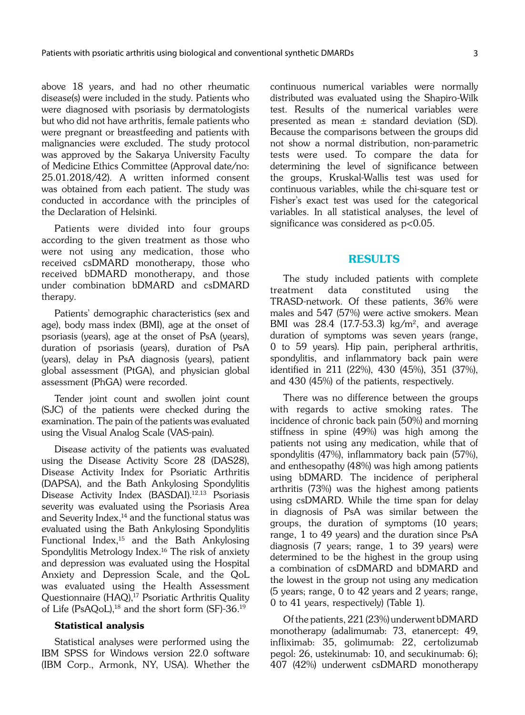above 18 years, and had no other rheumatic disease(s) were included in the study. Patients who were diagnosed with psoriasis by dermatologists but who did not have arthritis, female patients who were pregnant or breastfeeding and patients with malignancies were excluded. The study protocol was approved by the Sakarya University Faculty of Medicine Ethics Committee (Approval date/no: 25.01.2018/42). A written informed consent was obtained from each patient. The study was conducted in accordance with the principles of the Declaration of Helsinki.

Patients were divided into four groups according to the given treatment as those who were not using any medication, those who received csDMARD monotherapy, those who received bDMARD monotherapy, and those under combination bDMARD and csDMARD therapy.

Patients' demographic characteristics (sex and age), body mass index (BMI), age at the onset of psoriasis (years), age at the onset of PsA (years), duration of psoriasis (years), duration of PsA (years), delay in PsA diagnosis (years), patient global assessment (PtGA), and physician global assessment (PhGA) were recorded.

Tender joint count and swollen joint count (SJC) of the patients were checked during the examination. The pain of the patients was evaluated using the Visual Analog Scale (VAS-pain).

Disease activity of the patients was evaluated using the Disease Activity Score 28 (DAS28), Disease Activity Index for Psoriatic Arthritis (DAPSA), and the Bath Ankylosing Spondylitis Disease Activity Index (BASDAI).<sup>12,13</sup> Psoriasis severity was evaluated using the Psoriasis Area and Severity Index,<sup>14</sup> and the functional status was evaluated using the Bath Ankylosing Spondylitis Functional Index,15 and the Bath Ankylosing Spondylitis Metrology Index.16 The risk of anxiety and depression was evaluated using the Hospital Anxiety and Depression Scale, and the QoL was evaluated using the Health Assessment Questionnaire (HAQ),<sup>17</sup> Psoriatic Arthritis Quality of Life (PsAQoL),<sup>18</sup> and the short form (SF)-36.<sup>19</sup>

# Statistical analysis

Statistical analyses were performed using the IBM SPSS for Windows version 22.0 software (IBM Corp., Armonk, NY, USA). Whether the continuous numerical variables were normally distributed was evaluated using the Shapiro-Wilk test. Results of the numerical variables were presented as mean  $\pm$  standard deviation (SD). Because the comparisons between the groups did not show a normal distribution, non-parametric tests were used. To compare the data for determining the level of significance between the groups, Kruskal-Wallis test was used for continuous variables, while the chi-square test or Fisher's exact test was used for the categorical variables. In all statistical analyses, the level of significance was considered as  $p<0.05$ .

### RESULTS

The study included patients with complete treatment data constituted using the TRASD-network. Of these patients, 36% were males and 547 (57%) were active smokers. Mean BMI was 28.4 (17.7-53.3)  $\text{kg/m}^2$ , and average duration of symptoms was seven years (range, 0 to 59 years). Hip pain, peripheral arthritis, spondylitis, and inflammatory back pain were identified in 211 (22%), 430 (45%), 351 (37%), and 430 (45%) of the patients, respectively.

There was no difference between the groups with regards to active smoking rates. The incidence of chronic back pain (50%) and morning stiffness in spine (49%) was high among the patients not using any medication, while that of spondylitis (47%), inflammatory back pain (57%), and enthesopathy (48%) was high among patients using bDMARD. The incidence of peripheral arthritis (73%) was the highest among patients using csDMARD. While the time span for delay in diagnosis of PsA was similar between the groups, the duration of symptoms (10 years; range, 1 to 49 years) and the duration since PsA diagnosis (7 years; range, 1 to 39 years) were determined to be the highest in the group using a combination of csDMARD and bDMARD and the lowest in the group not using any medication (5 years; range, 0 to 42 years and 2 years; range, 0 to 41 years, respectively) (Table 1).

Of the patients, 221 (23%) underwent bDMARD monotherapy (adalimumab: 73, etanercept: 49, infliximab: 35, golimumab: 22, certolizumab pegol: 26, ustekinumab: 10, and secukinumab: 6); 407 (42%) underwent csDMARD monotherapy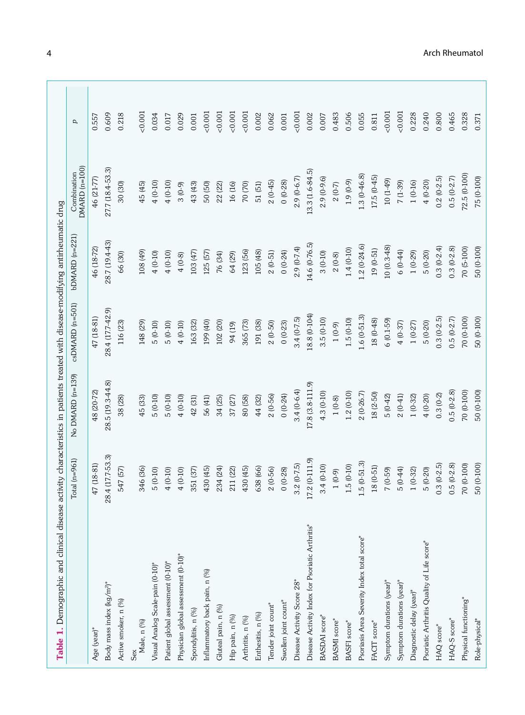| Table 1. Demographic and clinical disease activity characteristics in patients treated with disease-modifying antirheumatic drug | Total $(n=961)$      | No DMARD (n=139) | csDMARD (n=501)  | $bDMARD(n=221)$ | DMARD (n=100)<br>Combination | d     |
|----------------------------------------------------------------------------------------------------------------------------------|----------------------|------------------|------------------|-----------------|------------------------------|-------|
| Age (year)*                                                                                                                      | 47 (18-81)           | 48 (20-72)       | 47 (18-81)       | 46 (18-72)      | 46 (21-77)                   | 0.557 |
| Body mass index (kg/m <sup>2)*</sup>                                                                                             | 4 (17.7-53.3)<br>28. | 28.5 (19.3-44.8) | 28.4 (17.7-42.9) | 287 (194-43)    | 27.7 (18.4-53.3)             | 0.609 |
| Active smoker, n (%)                                                                                                             | 547 (57)             | 38 (28)          | 116 (23)         | 66 (30)         | 30 (30)                      | 0.218 |
| Male, n (%)<br>Sex                                                                                                               | 346 (36)             | 45 (33)          | 148 (29)         | 108 (49)        | 45 (45)                      | 0.001 |
| Visual Analog Scale-pain (0-10)*                                                                                                 | $5(0-10)$            | $5(0-10)$        | $5(0-10)$        | $4(0-10)$       | $4(0-10)$                    | 0.034 |
| Patient global assessment (0-10)*                                                                                                | $4(0-10)$            | $5(0-10)$        | $5(0-10)$        | $4(0-10)$       | $4(0-10)$                    | 0.017 |
| Physician global assessment (0-10)*                                                                                              | $4(0-10)$            | $4(0-10)$        | $4(0-10)$        | $4(0-8)$        | $3(0-9)$                     | 0.029 |
| Spondylitis, n (%)                                                                                                               | 351 (37)             | 42 (31)          | 163 (32)         | 103 (47)        | 43 (43)                      | 0.001 |
| Inflammatory back pain, n (%)                                                                                                    | 430 (45)             | 56 (41)          | 199 (40)         | 125 (57)        | 50 (50)                      | 0.001 |
| Gluteal pain, n (%)                                                                                                              | 234 (24)             | 34 (25)          | 102 (20)         | 76 (34)         | 22 (22)                      | 0.001 |
| Hip pain, n (%)                                                                                                                  | 211 (22)             | 37 (27)          | 94 (19)          | 64 (29)         | 16 (16)                      | 0.001 |
| Arthritis, n (%)                                                                                                                 | 430 (45)             | 80 (58)          | 365 (73)         | 123 (56)        | 70 (70)                      | 0.001 |
| Enthesitis, n (%)                                                                                                                | 638 (66)             | 44 (32)          | 191 (38)         | 105 (48)        | 51 (51)                      | 0.002 |
| Tender joint count*                                                                                                              | $2(0-56)$            | $2(0-56)$        | $2(0-50)$        | $2(0-51)$       | $2(0-45)$                    | 0.062 |
| Swollen joint count*                                                                                                             | $0(0-28)$            | $0(0-24)$        | $0(0-23)$        | $0(0-24)$       | $0(0-28)$                    | 0.001 |
| Disease Activity Score 28*                                                                                                       | $3.2(0-7.5)$         | $3.4(0-6.4)$     | $3.4(0-7.5)$     | $2.9(0-7.4)$    | $2.9(0-6.7)$                 | 0.001 |
| Disease Activity Index for Psoriatic Arthritis*                                                                                  | 17.2 (0-111.9)       | 17.8 (3.8-111.9) | 18.8 (0-104)     | 14.6 (0-76.5)   | 13.3 (1.6-84.5)              | 0.002 |
| BASDAI score*                                                                                                                    | $3.4(0-10)$          | $4.3(0-10)$      | $3.5(0-10)$      | $3(0-10)$       | $2.9(0-9.6)$                 | 0.007 |
| BASMI score*                                                                                                                     | $1(0-9)$             | $1(0-8)$         | $1(0-9)$         | $2(0-8)$        | $2(0-7)$                     | 0.483 |
| BASFI score*                                                                                                                     | $1.5(0-10)$          | $1.2(0-10)$      | $1.5(0-10)$      | $1.4(0-10)$     | $1.9(0-9)$                   | 0.506 |
| Psoriasis Area Severity Index total score*                                                                                       | $.5(0-51.3)$         | $2(0-26.7)$      | $1.6(0-51.3)$    | $1.2(0-24.6)$   | $1.3(0-46.8)$                | 0.055 |
| FACIT score*                                                                                                                     | $18(0-51)$           | 18 (2-50)        | $18(0-48)$       | $19(0-51)$      | $17.5(0-45)$                 | 0.811 |
| Symptom durations (year)*                                                                                                        | $7(0-59)$            | $5(0-42)$        | $6(0.1-59)$      | $10(0.3-48)$    | $(64-1)$ 01                  | 0.001 |
| Symptom durations (year)*                                                                                                        | $5(0-44)$            | $2(0-41)$        | $4(0-37)$        | $6(0-44)$       | $7(1-39)$                    | 0.001 |
| Diagnostic delay (year)*                                                                                                         | $1(0-32)$            | $1(0-32)$        | $1(0-27)$        | $1(0-29)$       | $1(0-16)$                    | 0.228 |
| Psoriatic Arthritis Quality of Life score*                                                                                       | $5(0-20)$            | $4(0-20)$        | $5(0-20)$        | $5(0-20)$       | $4(0-20)$                    | 0.240 |
| HAQ score*                                                                                                                       | $0.3(0-2.5)$         | $0.3(0-2)$       | $0.3(0-2.5)$     | $0.3(0-2.4)$    | $0.2(0-2.5)$                 | 0.800 |
| HAQ-S score*                                                                                                                     | $0.5(0-2.8)$         | $0.5(0-2.8)$     | $0.5(0-2.7)$     | $0.3(0-2.8)$    | $0.5(0-2.7)$                 | 0.465 |
| Physical functioning*                                                                                                            | 70 (0-100)           | 70 (0-100)       | 70 (0-100)       | 70 (5-100)      | 72.5 (0-100)                 | 0.328 |
| Role-physical*                                                                                                                   | 50 (0-100)           | 50 (0-100)       | 50 (0-100)       | 50 (0-100)      | 75 (0-100)                   | 0.371 |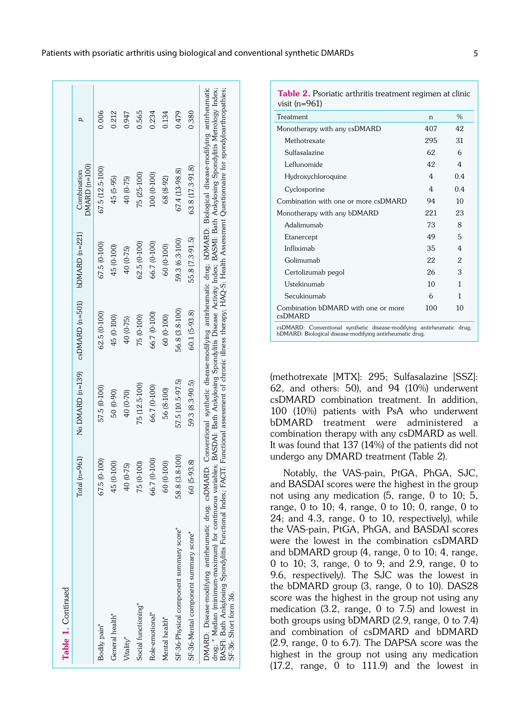| Table 1. Continued                                                                                                                                                                                                                                                                                                                                                                                                                                                                                                                                              |                    |                  |                       |                 |                                |       |
|-----------------------------------------------------------------------------------------------------------------------------------------------------------------------------------------------------------------------------------------------------------------------------------------------------------------------------------------------------------------------------------------------------------------------------------------------------------------------------------------------------------------------------------------------------------------|--------------------|------------------|-----------------------|-----------------|--------------------------------|-------|
|                                                                                                                                                                                                                                                                                                                                                                                                                                                                                                                                                                 | Total $(n=961)$    | No DMARD (n=139) | $csDMARD$ ( $n=501$ ) | bDMARD (n=221)  | $DMARD$ (n=100)<br>Combination | d     |
| Bodily pain*                                                                                                                                                                                                                                                                                                                                                                                                                                                                                                                                                    | 67.5 (0-100)       | 57.5 (0-100)     | $62.5(0-100)$         | 67.5 (0-100)    | 67.5 (12.5-100)                | 0.006 |
| General health <sup>*</sup>                                                                                                                                                                                                                                                                                                                                                                                                                                                                                                                                     | 45 (0-100)         | 50 (0-90)        | 45 (0-100)            | 45 (0-100)      | 45 (5-95)                      | 0.212 |
| Vitality*                                                                                                                                                                                                                                                                                                                                                                                                                                                                                                                                                       | 40 (0-75)          | 40 (0-70)        | 40 (0-75)             | 40 (0-75)       | 40 (0-75)                      | 0.947 |
| Social functioning*                                                                                                                                                                                                                                                                                                                                                                                                                                                                                                                                             | 75 (0-100)         | 75 (12.5-100)    | 75 (0-100)            | $62.5(0-100)$   | 75 (25-100)                    | 0.565 |
| Role-emotional*                                                                                                                                                                                                                                                                                                                                                                                                                                                                                                                                                 | 56.7 (0-100)       | 66.7 (0-100)     | 66.7 (0-100)          | 66.7 (0-100)    | 100 (0-100)                    | 0.234 |
| Mental health*                                                                                                                                                                                                                                                                                                                                                                                                                                                                                                                                                  | 60 (0-100)         | 56 (8-100)       | 60 (0-100)            | 60 (0-100)      | 68 (8-92)                      | 0.134 |
| SF-36-Physical component summary score"                                                                                                                                                                                                                                                                                                                                                                                                                                                                                                                         | 8.8 (3.8-100)<br>5 | 57.5 (10.5-97.5) | 56.8 (3.8-100)        | 59.3 (6.3-100)  | 67.4 (13-98.8)                 | 0.479 |
| SF-36-Mental component summary score"                                                                                                                                                                                                                                                                                                                                                                                                                                                                                                                           | 60 (5-93.8)        | 59.3 (8.3-90.5)  | 60.1 (5-93.8)         | 55.8 (7.3-91.5) | 63.8 (17.3-91.8)               | 0.380 |
| DMARD: Disease-modifying antirheumatic drug; csDMARD: Conventional synthetic disease-modifying antirheumatic drug; bDMARD: Biological disease-modifying antirheumatic<br>drug; * Median (minimum-maximum) for continuous variables; BASDAI: Bath Ankylosing Spondylitis Disease Activity Index; BASMI: Bath Ankylosing Spondylitis Metrology Index;<br>BASFI: Bath Ankylosing Spondylitis Functional Index; FACIT: Functional assessment of chronic illness therapy; HAQ-S: Health Assessment Questionnaire for spondyloarthropathies;<br>SF-36: Short form 36. |                    |                  |                       |                 |                                |       |

| <b>Table 2.</b> Psoriatic arthritis treatment regimen at clinic<br>visit (n= $961$ )                                              |     |                |
|-----------------------------------------------------------------------------------------------------------------------------------|-----|----------------|
| Treatment                                                                                                                         | n   | $\%$           |
| Monotherapy with any csDMARD                                                                                                      | 407 | 42             |
| Methotrexate                                                                                                                      | 295 | 31             |
| Sulfasalazine                                                                                                                     | 62  | 6              |
| Leflunomide                                                                                                                       | 42  | 4              |
| Hydroxychloroquine                                                                                                                | 4   | 0.4            |
| Cyclosporine                                                                                                                      | 4   | 0 <sub>4</sub> |
| Combination with one or more csDMARD                                                                                              | 94  | 10             |
| Monotherapy with any bDMARD                                                                                                       | 221 | 23             |
| Adalimumab                                                                                                                        | 73  | 8              |
| Etanercept                                                                                                                        | 49  | 5              |
| Infliximah                                                                                                                        | 35  | 4              |
| Golimumab                                                                                                                         | 22  | 2              |
| Certolizumab pegol                                                                                                                | 26  | 3              |
| Ustekinumab                                                                                                                       | 10  | 1              |
| Secukinumab                                                                                                                       | 6   | 1              |
| Combination bDMARD with one or more<br>csDMARD                                                                                    | 100 | 10             |
| csDMARD: Conventional synthetic disease-modifying antirheumatic drug;<br>bDMARD: Biological disease-modifying antirheumatic drug. |     |                |

(methotrexate [MTX]: 295; Sulfasalazine [SSZ]: 62, and others: 50), and 94 (10%) underwent csDMARD combination treatment. In addition, 100 (10%) patients with PsA who underwent bDMARD treatment were administered a combination therapy with any csDMARD as well. It was found that 137 (14%) of the patients did not undergo any DMARD treatment (Table 2).

Notably, the VAS-pain, PtGA, PhGA, SJC, and BASDAI scores were the highest in the group not using any medication (5, range, 0 to 10; 5, range, 0 to 10; 4, range, 0 to 10; 0, range, 0 to 24; and 4.3, range, 0 to 10, respectively), while the VAS-pain, PtGA, PhGA, and BASDAI scores were the lowest in the combination csDMARD and bDMARD group (4, range, 0 to 10; 4, range, 0 to 10; 3, range, 0 to 9; and 2.9, range, 0 to 9.6, respectively). The SJC was the lowest in the bDMARD group (3, range, 0 to 10). DAS28 score was the highest in the group not using any medication (3.2, range, 0 to 7.5) and lowest in both groups using bDMARD (2.9, range, 0 to 7.4) and combination of csDMARD and bDMARD (2.9, range, 0 to 6.7). The DAPSA score was the highest in the group not using any medication (17.2, range, 0 to 111.9) and the lowest in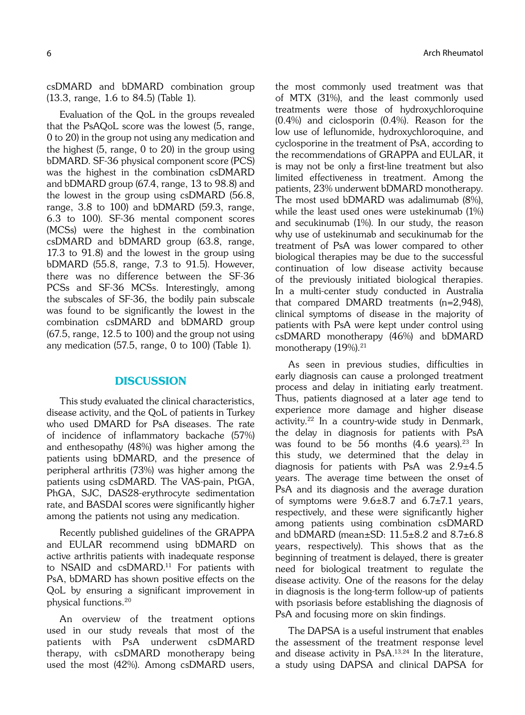csDMARD and bDMARD combination group (13.3, range, 1.6 to 84.5) (Table 1).

Evaluation of the QoL in the groups revealed that the PsAQoL score was the lowest (5, range, 0 to 20) in the group not using any medication and the highest (5, range, 0 to 20) in the group using bDMARD. SF-36 physical component score (PCS) was the highest in the combination csDMARD and bDMARD group (67.4, range, 13 to 98.8) and the lowest in the group using csDMARD (56.8, range, 3.8 to 100) and bDMARD (59.3, range, 6.3 to 100). SF-36 mental component scores (MCSs) were the highest in the combination csDMARD and bDMARD group (63.8, range, 17.3 to 91.8) and the lowest in the group using bDMARD (55.8, range, 7.3 to 91.5). However, there was no difference between the SF-36 PCSs and SF-36 MCSs. Interestingly, among the subscales of SF-36, the bodily pain subscale was found to be significantly the lowest in the combination csDMARD and bDMARD group (67.5, range, 12.5 to 100) and the group not using any medication (57.5, range, 0 to 100) (Table 1).

# **DISCUSSION**

This study evaluated the clinical characteristics, disease activity, and the QoL of patients in Turkey who used DMARD for PsA diseases. The rate of incidence of inflammatory backache (57%) and enthesopathy (48%) was higher among the patients using bDMARD, and the presence of peripheral arthritis (73%) was higher among the patients using csDMARD. The VAS-pain, PtGA, PhGA, SJC, DAS28-erythrocyte sedimentation rate, and BASDAI scores were significantly higher among the patients not using any medication.

Recently published guidelines of the GRAPPA and EULAR recommend using bDMARD on active arthritis patients with inadequate response to NSAID and csDMARD.<sup>11</sup> For patients with PsA, bDMARD has shown positive effects on the QoL by ensuring a significant improvement in physical functions.20

An overview of the treatment options used in our study reveals that most of the patients with PsA underwent csDMARD therapy, with csDMARD monotherapy being used the most (42%). Among csDMARD users,

the most commonly used treatment was that of MTX (31%), and the least commonly used treatments were those of hydroxychloroquine (0.4%) and ciclosporin (0.4%). Reason for the low use of leflunomide, hydroxychloroquine, and cyclosporine in the treatment of PsA, according to the recommendations of GRAPPA and EULAR, it is may not be only a first-line treatment but also limited effectiveness in treatment. Among the patients, 23% underwent bDMARD monotherapy. The most used bDMARD was adalimumab (8%), while the least used ones were ustekinumab (1%) and secukinumab (1%). In our study, the reason why use of ustekinumab and secukinumab for the treatment of PsA was lower compared to other biological therapies may be due to the successful continuation of low disease activity because of the previously initiated biological therapies. In a multi-center study conducted in Australia that compared DMARD treatments (n=2,948), clinical symptoms of disease in the majority of patients with PsA were kept under control using csDMARD monotherapy (46%) and bDMARD monotherapy (19%).<sup>21</sup>

As seen in previous studies, difficulties in early diagnosis can cause a prolonged treatment process and delay in initiating early treatment. Thus, patients diagnosed at a later age tend to experience more damage and higher disease activity.22 In a country-wide study in Denmark, the delay in diagnosis for patients with PsA was found to be 56 months  $(4.6 \text{ years})$ .<sup>23</sup> In this study, we determined that the delay in diagnosis for patients with PsA was 2.9±4.5 years. The average time between the onset of PsA and its diagnosis and the average duration of symptoms were  $9.6\pm8.7$  and  $6.7\pm7.1$  years, respectively, and these were significantly higher among patients using combination csDMARD and bDMARD (mean $\pm$ SD: 11.5 $\pm$ 8.2 and 8.7 $\pm$ 6.8 years, respectively). This shows that as the beginning of treatment is delayed, there is greater need for biological treatment to regulate the disease activity. One of the reasons for the delay in diagnosis is the long-term follow-up of patients with psoriasis before establishing the diagnosis of PsA and focusing more on skin findings.

The DAPSA is a useful instrument that enables the assessment of the treatment response level and disease activity in PsA.13,24 In the literature, a study using DAPSA and clinical DAPSA for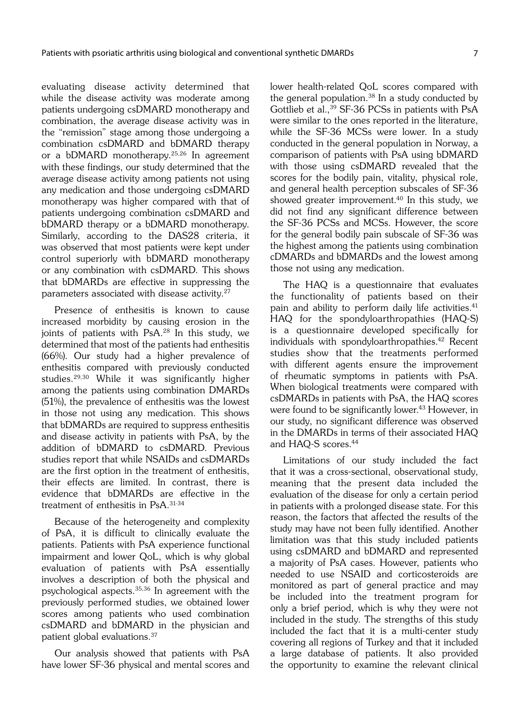evaluating disease activity determined that while the disease activity was moderate among patients undergoing csDMARD monotherapy and combination, the average disease activity was in the "remission" stage among those undergoing a combination csDMARD and bDMARD therapy or a bDMARD monotherapy.25,26 In agreement with these findings, our study determined that the average disease activity among patients not using any medication and those undergoing csDMARD monotherapy was higher compared with that of patients undergoing combination csDMARD and bDMARD therapy or a bDMARD monotherapy. Similarly, according to the DAS28 criteria, it was observed that most patients were kept under control superiorly with bDMARD monotherapy or any combination with csDMARD. This shows that bDMARDs are effective in suppressing the parameters associated with disease activity.27

Presence of enthesitis is known to cause increased morbidity by causing erosion in the joints of patients with PsA.<sup>28</sup> In this study, we determined that most of the patients had enthesitis (66%). Our study had a higher prevalence of enthesitis compared with previously conducted studies.29,30 While it was significantly higher among the patients using combination DMARDs (51%), the prevalence of enthesitis was the lowest in those not using any medication. This shows that bDMARDs are required to suppress enthesitis and disease activity in patients with PsA, by the addition of bDMARD to csDMARD. Previous studies report that while NSAIDs and csDMARDs are the first option in the treatment of enthesitis, their effects are limited. In contrast, there is evidence that bDMARDs are effective in the treatment of enthesitis in PsA.31-34

Because of the heterogeneity and complexity of PsA, it is difficult to clinically evaluate the patients. Patients with PsA experience functional impairment and lower QoL, which is why global evaluation of patients with PsA essentially involves a description of both the physical and psychological aspects.35,36 In agreement with the previously performed studies, we obtained lower scores among patients who used combination csDMARD and bDMARD in the physician and patient global evaluations.37

Our analysis showed that patients with PsA have lower SF-36 physical and mental scores and lower health-related QoL scores compared with the general population. $38$  In a study conducted by Gottlieb et al.,<sup>39</sup> SF-36 PCSs in patients with PsA were similar to the ones reported in the literature, while the SF-36 MCSs were lower. In a study conducted in the general population in Norway, a comparison of patients with PsA using bDMARD with those using csDMARD revealed that the scores for the bodily pain, vitality, physical role, and general health perception subscales of SF-36 showed greater improvement.40 In this study, we did not find any significant difference between the SF-36 PCSs and MCSs. However, the score for the general bodily pain subscale of SF-36 was the highest among the patients using combination cDMARDs and bDMARDs and the lowest among those not using any medication.

The HAQ is a questionnaire that evaluates the functionality of patients based on their pain and ability to perform daily life activities.<sup>41</sup> HAQ for the spondyloarthropathies (HAQ-S) is a questionnaire developed specifically for individuals with spondyloarthropathies.<sup>42</sup> Recent studies show that the treatments performed with different agents ensure the improvement of rheumatic symptoms in patients with PsA. When biological treatments were compared with csDMARDs in patients with PsA, the HAQ scores were found to be significantly lower.<sup>43</sup> However, in our study, no significant difference was observed in the DMARDs in terms of their associated HAQ and HAQ-S scores.44

Limitations of our study included the fact that it was a cross-sectional, observational study, meaning that the present data included the evaluation of the disease for only a certain period in patients with a prolonged disease state. For this reason, the factors that affected the results of the study may have not been fully identified. Another limitation was that this study included patients using csDMARD and bDMARD and represented a majority of PsA cases. However, patients who needed to use NSAID and corticosteroids are monitored as part of general practice and may be included into the treatment program for only a brief period, which is why they were not included in the study. The strengths of this study included the fact that it is a multi-center study covering all regions of Turkey and that it included a large database of patients. It also provided the opportunity to examine the relevant clinical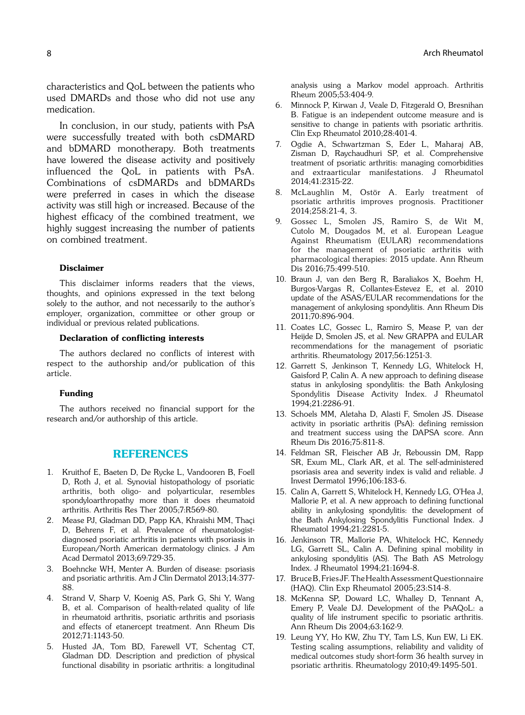characteristics and QoL between the patients who used DMARDs and those who did not use any medication.

In conclusion, in our study, patients with PsA were successfully treated with both csDMARD and bDMARD monotherapy. Both treatments have lowered the disease activity and positively influenced the QoL in patients with PsA. Combinations of csDMARDs and bDMARDs were preferred in cases in which the disease activity was still high or increased. Because of the highest efficacy of the combined treatment, we highly suggest increasing the number of patients on combined treatment.

#### Disclaimer

This disclaimer informs readers that the views, thoughts, and opinions expressed in the text belong solely to the author, and not necessarily to the author's employer, organization, committee or other group or individual or previous related publications.

#### Declaration of conflicting interests

The authors declared no conflicts of interest with respect to the authorship and/or publication of this article.

#### Funding

The authors received no financial support for the research and/or authorship of this article.

# REFERENCES

- 1. Kruithof E, Baeten D, De Rycke L, Vandooren B, Foell D, Roth J, et al. Synovial histopathology of psoriatic arthritis, both oligo- and polyarticular, resembles spondyloarthropathy more than it does rheumatoid arthritis. Arthritis Res Ther 2005;7:R569-80.
- 2. Mease PJ, Gladman DD, Papp KA, Khraishi MM, Thaçi D, Behrens F, et al. Prevalence of rheumatologistdiagnosed psoriatic arthritis in patients with psoriasis in European/North American dermatology clinics. J Am Acad Dermatol 2013;69:729-35.
- 3. Boehncke WH, Menter A. Burden of disease: psoriasis and psoriatic arthritis. Am J Clin Dermatol 2013;14:377- 88.
- 4. Strand V, Sharp V, Koenig AS, Park G, Shi Y, Wang B, et al. Comparison of health-related quality of life in rheumatoid arthritis, psoriatic arthritis and psoriasis and effects of etanercept treatment. Ann Rheum Dis 2012;71:1143-50.
- 5. Husted JA, Tom BD, Farewell VT, Schentag CT, Gladman DD. Description and prediction of physical functional disability in psoriatic arthritis: a longitudinal

analysis using a Markov model approach. Arthritis Rheum 2005;53:404-9.

- 6. Minnock P, Kirwan J, Veale D, Fitzgerald O, Bresnihan B. Fatigue is an independent outcome measure and is sensitive to change in patients with psoriatic arthritis. Clin Exp Rheumatol 2010;28:401-4.
- 7. Ogdie A, Schwartzman S, Eder L, Maharaj AB, Zisman D, Raychaudhuri SP, et al. Comprehensive treatment of psoriatic arthritis: managing comorbidities and extraarticular manifestations. J Rheumatol 2014;41:2315-22.
- 8. McLaughlin M, Ostör A. Early treatment of psoriatic arthritis improves prognosis. Practitioner 2014;258:21-4, 3.
- 9. Gossec L, Smolen JS, Ramiro S, de Wit M, Cutolo M, Dougados M, et al. European League Against Rheumatism (EULAR) recommendations for the management of psoriatic arthritis with pharmacological therapies: 2015 update. Ann Rheum Dis 2016;75:499-510.
- 10. Braun J, van den Berg R, Baraliakos X, Boehm H, Burgos-Vargas R, Collantes-Estevez E, et al. 2010 update of the ASAS/EULAR recommendations for the management of ankylosing spondylitis. Ann Rheum Dis 2011;70:896-904.
- 11. Coates LC, Gossec L, Ramiro S, Mease P, van der Heijde D, Smolen JS, et al. New GRAPPA and EULAR recommendations for the management of psoriatic arthritis. Rheumatology 2017;56:1251-3.
- 12. Garrett S, Jenkinson T, Kennedy LG, Whitelock H, Gaisford P, Calin A. A new approach to defining disease status in ankylosing spondylitis: the Bath Ankylosing Spondylitis Disease Activity Index. J Rheumatol 1994;21:2286-91.
- 13. Schoels MM, Aletaha D, Alasti F, Smolen JS. Disease activity in psoriatic arthritis (PsA): defining remission and treatment success using the DAPSA score. Ann Rheum Dis 2016;75:811-8.
- 14. Feldman SR, Fleischer AB Jr, Reboussin DM, Rapp SR, Exum ML, Clark AR, et al. The self-administered psoriasis area and severity index is valid and reliable. J Invest Dermatol 1996;106:183-6.
- 15. Calin A, Garrett S, Whitelock H, Kennedy LG, O'Hea J, Mallorie P, et al. A new approach to defining functional ability in ankylosing spondylitis: the development of the Bath Ankylosing Spondylitis Functional Index. J Rheumatol 1994;21:2281-5.
- 16. Jenkinson TR, Mallorie PA, Whitelock HC, Kennedy LG, Garrett SL, Calin A. Defining spinal mobility in ankylosing spondylitis (AS). The Bath AS Metrology Index. J Rheumatol 1994;21:1694-8.
- 17. Bruce B, Fries JF. The Health Assessment Questionnaire (HAQ). Clin Exp Rheumatol 2005;23:S14-8.
- 18. McKenna SP, Doward LC, Whalley D, Tennant A, Emery P, Veale DJ. Development of the PsAQoL: a quality of life instrument specific to psoriatic arthritis. Ann Rheum Dis 2004;63:162-9.
- 19. Leung YY, Ho KW, Zhu TY, Tam LS, Kun EW, Li EK. Testing scaling assumptions, reliability and validity of medical outcomes study short-form 36 health survey in psoriatic arthritis. Rheumatology 2010;49:1495-501.